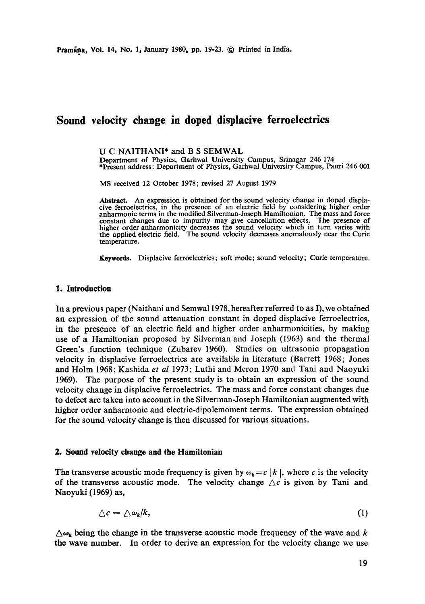# **Sound velocity change in doped displacive ferroelectrics**

U C NAITHANI\* and B S SEMWAL Department of Physics, Garhwal University Campus, Srinagar 246 174 \*Present address: Department of Physics, Garhwal University Campus, Pauri 246 001

MS received 12 October 1978; revised 27 August 1979

**Abstract.** An expression is obtained for the sound velocity change in doped displacive ferroelectrics, in the presence of an electric field by considering higher order anharmonic terms in the modified Silverman-Joseph Hamiltonian. The mass and force constant changes due to impurity may give cancellation effects. The presence of higher order anharmonicity decreases the sound velocity which in turn varies with the applied electric field. The sound velocity decreases anomalously near the Curie temperature.

**Keywords.** Displacive ferroelectrics; soft mode; sound velocity; Curie temperature.

#### **1. Introduction**

In a previous paper (Naithani and Semwal 1978, hereafter referred to as I), we obtained an expression of the sound attenuation constant in doped displacive ferroelectrics, in the presence of an electric field and higher order anharmonicities, by making use of a Hamiltonian proposed by Silverman and Joseph (1963) and the thermal Green's function technique (Zubarev 1960). Studies on ultrasonic propagation velocity in displacive ferroelectries are available in literature (Barrett 1968; Jones and Holm 1968; Kashida *et al* 1973; Luthi and Meron 1970 and Tani and Naoyuki 1969). The purpose of the present study is to obtain an expression of the sound velocity change in displacive ferroelectrics. The mass and force constant changes due to defect are taken into account in the Silverman-Joseph Hamiltonian augmented with higher order anharmonic and electrie-dipolemoment terms. The expression obtained for the sound velocity change is then discussed for various situations.

#### **2. Sound velocity change and the Hamiltonian**

The transverse acoustic mode frequency is given by  $\omega_k = c |k|$ , where c is the velocity of the transverse acoustic mode. The velocity change  $\triangle c$  is given by Tani and Naoyuki (1969) as,

$$
\Delta c = \Delta \omega_k / k, \tag{1}
$$

 $\Delta\omega_k$  being the change in the transverse acoustic mode frequency of the wave and k the wave number. In order to derive an expression for the velocity change we use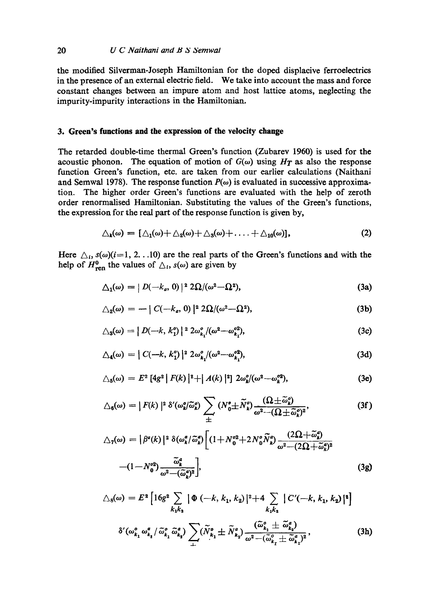#### 20 *U C Naithani and B S Semwal*

the modified Silverman-Joseph Hamiltonian for the doped displacive ferroelectrics in the presence of an external electric field. We take into account the mass and force constant changes between an impure atom and host lattice atoms, neglecting the impurity-impurity interactions in the Hamiltonian.

### **3. Green's functions and the expression of** the velocity **change**

The retarded double-time thermal Green's function (Zubarev 1960) is used for the acoustic phonon. The equation of motion of  $G(\omega)$  using  $H_T$  as also the response function Green's function, etc. are taken from our earlier calculations (Naithani and Semwal 1978). The response function  $P(\omega)$  is evaluated in successive approximation. The higher order Green's functions are evaluated with the help of zeroth order renormalised Hamiltonian. Substituting the values of the Green's functions, the expression for the real part of the response function is given by,

$$
\triangle_{\mathbf{k}}(\omega) = [\triangle_{1}(\omega) + \triangle_{2}(\omega) + \triangle_{3}(\omega) + \ldots + \triangle_{10}(\omega)], \qquad (2)
$$

Here  $\triangle_i$ ,  $s(\omega)(i=1, 2, \ldots)$  are the real parts of the Green's functions and with the help of  $H_{\text{ren}}^0$  the values of  $\Delta_i$ ,  $s(\omega)$  are given by

$$
\Delta_1(\omega) = |D(-k_a, 0)|^2 2\Omega/(\omega^2 - \Omega^2), \qquad (3a)
$$

$$
\triangle_2(\omega) = - \mid C(-k_a, 0) \mid^2 2\Omega/(\omega^2 - \Omega^2), \tag{3b}
$$

$$
\triangle_3(\omega) = |D(-k, k_1^o)|^2 2\omega_{k_1}^o/(\omega^2 - \omega_{k_1}^{o2}), \qquad (3c)
$$

$$
\triangle_4(\omega) = | C(-k, k_1^o) |^2 2\omega_{k_1}^o/(\omega^2 - \omega_{k_1}^{o2}), \tag{3d}
$$

$$
\triangle_5(\omega) = E^2 \left[ 4g^2 \, \middle| \, F(k) \, \middle| \, \frac{2 + |A(k)|^2}{2} \, 2\omega_k^o / (\omega^2 - \omega_k^{o2}), \right] \tag{3e}
$$

$$
\triangle_6(\omega) = |F(k)|^2 \delta'(\omega_k^o/\widetilde{\omega}_k^o) \sum_{\pm} (N_0^o \pm \widetilde{N}_k^o) \frac{(\Omega \pm \widetilde{\omega}_k^o)}{\omega^2 - (\Omega \pm \widetilde{\omega}_k^o)^2},
$$
(3f)

$$
\triangle_7(\omega) = |\beta^a(k)|^2 \delta(\omega_k^a/\tilde{\omega}_k^a) \left[ (1 + N_0^{o2} + 2N_0^o \tilde{N}_k^a) \frac{(2\Omega + \tilde{\omega}_k^a)}{\omega^2 - (2\Omega + \tilde{\omega}_k^a)^2} \right] - (1 - N_0^{o2}) \frac{\tilde{\omega}_k^a}{\omega^2 - (\tilde{\omega}_k^a)^2},
$$
(3g)

$$
\triangle_{8}(\omega) = E^{2} \left[ 16g^{2} \sum_{k_{1}k_{2}} |\Phi(-k, k_{1}, k_{2})|^{2} + 4 \sum_{k_{1}k_{2}} |C'(-k, k_{1}, k_{2})|^{2} \right]
$$
  

$$
\delta'(\omega_{k_{1}}^{o} \omega_{k_{1}}^{a} / \tilde{\omega}_{k_{1}}^{o} \tilde{\omega}_{k_{2}}^{a}) \sum_{\pm} (\tilde{N}_{k_{1}}^{o} \pm \tilde{N}_{k_{2}}^{a}) \frac{(\tilde{\omega}_{k_{1}}^{o} \pm \tilde{\omega}_{k_{2}}^{a})}{\omega^{2} - (\tilde{\omega}_{k_{1}}^{o} \pm \tilde{\omega}_{k_{2}}^{a})^{2}},
$$
(3h)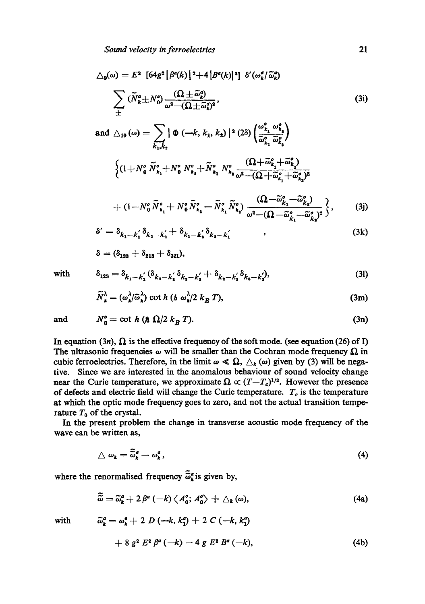$$
\triangle_{\mathfrak{s}}(\omega) = E^2 \left[ 64g^2 \left| \beta^a(k) \right|^2 + 4 \left| B^a(k) \right|^2 \right] \delta'(\omega_k^a/\widetilde{\omega}_k^a)
$$

$$
\sum_{\pm} (\widetilde{N}_k^a \pm N_0^a) \frac{(\Omega \pm \widetilde{\omega}_k^a)}{\omega^2 - (\Omega \pm \widetilde{\omega}_k^a)^2}, \tag{3i}
$$

and 
$$
\triangle_{10}(\omega) = \sum_{k_1,k_2} |\Phi(-k, k_1, k_2)|^2 (2\delta) \left(\frac{\omega_{k_1}^o \omega_{k_2}^o}{\tilde{\omega}_{k_1}^o \tilde{\omega}_{k_2}^o}\right)
$$
  

$$
\left\{ (1+N_0^o \tilde{N}_{k_1}^o+N_0^o N_{k_2}^o+\tilde{N}_{k_1}^o N_{k_2}^o \frac{(\Omega+\tilde{\omega}_{k_1}^o+\tilde{\omega}_{k_2}^o)}{\omega^2-(\Omega+\tilde{\omega}_{k_1}^o+\tilde{\omega}_{k_2}^o)^2} + (1-N_0^o \tilde{N}_1^o+N_0^o \tilde{N}_1^o-\tilde{N}_1^o \tilde{N}_1^o) \frac{(\Omega-\tilde{\omega}_{k_1}^o-\tilde{\omega}_{k_2}^o)}{(\Omega-\tilde{\omega}_{k_1}^o-\tilde{\omega}_{k_2}^o)^2} \right\}
$$
(3i)

$$
+ (1 - N_0^o \widetilde{N}_{k_1}^o + N_0^o \widetilde{N}_{k_2}^o - \widetilde{N}_{k_1}^o \widetilde{N}_{k_2}^o) \frac{(\Delta Z - \omega_{k_1} \cdots \omega_{k_s})}{\omega^2 - (\Omega - \widetilde{\omega}_{k_1}^o - \widetilde{\omega}_{k_s}^o)^2} \left\},
$$
(3j)

$$
\delta' = \delta_{k_1 - k_1'} \delta_{k_2 - k_2'} + \delta_{k_1 - k_2'} \delta_{k_2 - k_1'} \tag{3k}
$$

$$
\delta = (\delta_{123} + \delta_{213} + \delta_{321}),
$$

with 
$$
\delta_{123} = \delta_{k_1 - k_1'} (\delta_{k_2 - k_2'} \delta_{k_3 - k_3'} + \delta_{k_2 - k_3'} \delta_{k_3 - k_3'}),
$$
 (31)

$$
\widetilde{N}_{k}^{\lambda} = (\omega_{k}^{\lambda}/\widetilde{\omega}_{k}^{\lambda}) \cot h \ (\hbar \ \omega_{k}^{\lambda}/2 \ k_{B} \ T), \tag{3m}
$$

and 
$$
N_0^o = \cot h \left( \hbar \Omega/2 k_B T \right).
$$
 (3n)

In equation (3n),  $\Omega$  is the effective frequency of the soft mode. (see equation (26) of I) The ultrasonic frequencies  $\omega$  will be smaller than the Cochran mode frequency  $\Omega$  in cubic ferroelectrics. Therefore, in the limit  $\omega \ll \Omega$ ,  $\Delta_k(\omega)$  given by (3) will be negative. Since we are interested in the anomalous behaviour of sound velocity change near the Curie temperature, we approximate  $\Omega \propto (T-T_c)^{1/2}$ . However the presence of defects and electric field will change the Curie temperature.  $T_c$  is the temperature at which the optic mode frequency goes to zero, and not the actual transition temperature  $T_0$  of the crystal.

In the present problem the change in transverse acoustic mode frequency of the wave can be written as,

$$
\triangle \omega_{k} = \tilde{\tilde{\omega}}_{k}^{a} - \omega_{k}^{a}, \qquad (4)
$$

where the renormalised frequency  $\tilde{\tilde{\omega}}_k^a$  is given by,

$$
\widetilde{\tilde{\omega}} = \widetilde{\omega}_{k}^{a} + 2 \beta^{a} \left( -k \right) \left\langle A_{0}^{o}; A_{0}^{o} \right\rangle + \Delta_{k} \left( \omega \right), \tag{4a}
$$

with  $\tilde{\omega}_k^a = \omega_k^a + 2 D(-k, k_1^a) + 2 C(-k, k_1^a)$ 

$$
+ 8 g2 E2 \betaa (-k) - 4 g E2 Ba (-k), \qquad (4b)
$$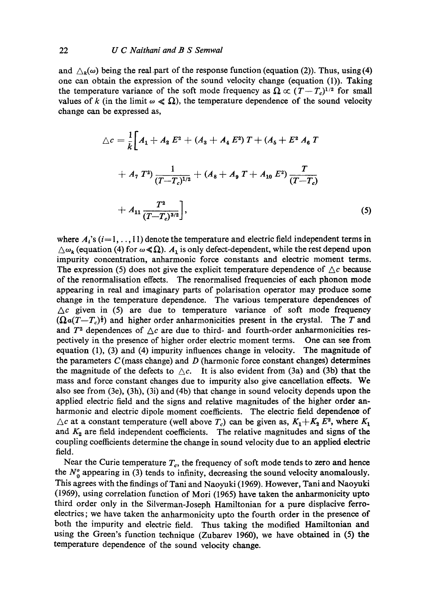and  $\Delta_k(\omega)$  being the real-part of the response function (equation (2)). Thus, using (4) one can obtain the expression of the sound velocity change (equation (1)). Taking the temperature variance of the soft mode frequency as  $\Omega \propto (T-T_c)^{1/2}$  for small values of k (in the limit  $\omega \ll \Omega$ ), the temperature dependence of the sound velocity change can be expressed as,

$$
\triangle c = \frac{1}{k} \bigg[ A_1 + A_2 E^2 + (A_3 + A_4 E^2) T + (A_5 + E^2 A_6 T + A_7 T^2) \frac{1}{(T - T_c)^{1/2}} + (A_8 + A_9 T + A_{10} E^2) \frac{T}{(T - T_c)}
$$
  
+ 
$$
A_{11} \frac{T^2}{(T - T_c)^{3/2}} \bigg],
$$
 (5)

where  $A_i$ 's (i=1, ..., 11) denote the temperature and electric field independent terms in  $\Delta \omega_k$  (equation (4) for  $\omega \ll \Omega$ ).  $A_1$  is only defect-dependent, while the rest depend upon impurity concentration, anharmonic force constants and electric moment terms. The expression (5) does not give the explicit temperature dependence of  $\Delta c$  because of the renormalisation effects. The renormalised frequencies of each phonon mode appearing in real and imaginary parts of polarisation operator may produce some change in the temperature dependence. The various temperature dependences of  $\Delta c$  given in (5) are due to temperature variance of soft mode frequency  $(Qa(T-T_c)^{\frac{1}{2}})$  and higher order anharmonicities present in the crystal. The T and and  $T^2$  dependences of  $\Delta c$  are due to third- and fourth-order anharmonicities respectively in the presence of higher order electric moment terms. One can see from equation (1), (3) and (4) impurity influences change in velocity. The magnitude of the parameters  $C$  (mass change) and  $D$  (harmonic force constant changes) determines the magnitude of the defects to  $\triangle c$ . It is also evident from (3a) and (3b) that the mass and force constant changes due to impurity also give cancellation effects. We also see from (3e), (3h), (3i) and (4b) that change in sound velocity depends upon the applied electric field and the signs and relative magnitudes of the higher order anharmonic and electric dipole moment coefficients. The electric field dependence of  $\triangle c$  at a constant temperature (well above  $T_c$ ) can be given as,  $K_1 + K_2 E^2$ , where  $K_1$ and  $K_2$  are field independent coefficients. The relative magnitudes and signs of the coupling coefficients determine the change in sound velocity due to an applied electric field.

Near the Curie temperature  $T_c$ , the frequency of soft mode tends to zero and hence the  $N_0^o$  appearing in (3) tends to infinity, decreasing the sound velocity anomalously. This agrees with the findings of Tani and Naoyuki (1969). However, Tani and Naoyuki (1969), using correlation function of Mori (1965) have taken the anharmonicity upto third order only in the Silverman-Joseph Hamiltonian for a pure displacive ferroelectrics; we have taken the anharmonicity upto the fourth order in the presence of both the impurity and electric field. Thus taking the modified Hamiltonian and using the Green's function technique (Zubarev 1960), we have obtained in (5) the temperature dependence of the sound velocity change.